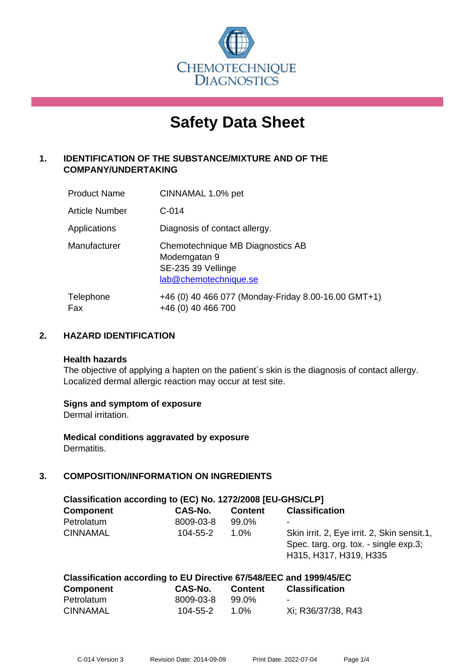

# **Safety Data Sheet**

# **1. IDENTIFICATION OF THE SUBSTANCE/MIXTURE AND OF THE COMPANY/UNDERTAKING**

| <b>Product Name</b> | CINNAMAL 1.0% pet                                                                               |
|---------------------|-------------------------------------------------------------------------------------------------|
| Article Number      | $C-014$                                                                                         |
| Applications        | Diagnosis of contact allergy.                                                                   |
| Manufacturer        | Chemotechnique MB Diagnostics AB<br>Modemgatan 9<br>SE-235 39 Vellinge<br>lab@chemotechnique.se |
| Telephone<br>Fax    | +46 (0) 40 466 077 (Monday-Friday 8.00-16.00 GMT+1)<br>+46 (0) 40 466 700                       |

## **2. HAZARD IDENTIFICATION**

#### **Health hazards**

The objective of applying a hapten on the patient's skin is the diagnosis of contact allergy. Localized dermal allergic reaction may occur at test site.

## **Signs and symptom of exposure**

Dermal irritation.

**Medical conditions aggravated by exposure** Dermatitis.

## **3. COMPOSITION/INFORMATION ON INGREDIENTS**

| Classification according to (EC) No. 1272/2008 [EU-GHS/CLP] |           |                |                                                                                                                |  |
|-------------------------------------------------------------|-----------|----------------|----------------------------------------------------------------------------------------------------------------|--|
| <b>Component</b>                                            | CAS-No.   | <b>Content</b> | <b>Classification</b>                                                                                          |  |
| Petrolatum                                                  | 8009-03-8 | 99.0%          | -                                                                                                              |  |
| <b>CINNAMAL</b>                                             | 104-55-2  | $1.0\%$        | Skin irrit. 2, Eye irrit. 2, Skin sensit.1,<br>Spec. targ. org. tox. - single exp.3;<br>H315, H317, H319, H335 |  |

# **Classification according to EU Directive 67/548/EEC and 1999/45/EC**

| <b>Component</b> | CAS-No.   | <b>Content</b> | <b>Classification</b> |
|------------------|-----------|----------------|-----------------------|
| Petrolatum       | 8009-03-8 | 99.0%          |                       |
| <b>CINNAMAL</b>  | 104-55-2  | 1.0%           | Xi; R36/37/38, R43    |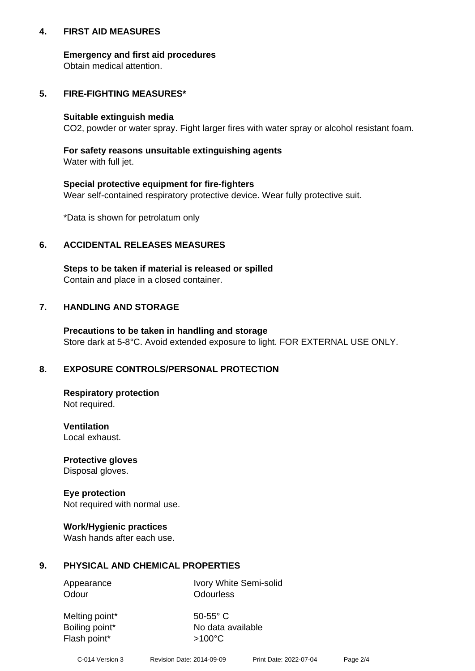## **4. FIRST AID MEASURES**

## **Emergency and first aid procedures**

Obtain medical attention.

# **5. FIRE-FIGHTING MEASURES\***

#### **Suitable extinguish media**

CO2, powder or water spray. Fight larger fires with water spray or alcohol resistant foam.

# **For safety reasons unsuitable extinguishing agents**

Water with full jet.

## **Special protective equipment for fire-fighters**

Wear self-contained respiratory protective device. Wear fully protective suit.

\*Data is shown for petrolatum only

## **6. ACCIDENTAL RELEASES MEASURES**

**Steps to be taken if material is released or spilled** Contain and place in a closed container.

# **7. HANDLING AND STORAGE**

**Precautions to be taken in handling and storage** Store dark at 5-8°C. Avoid extended exposure to light. FOR EXTERNAL USE ONLY.

# **8. EXPOSURE CONTROLS/PERSONAL PROTECTION**

**Respiratory protection** Not required.

**Ventilation** Local exhaust.

**Protective gloves** Disposal gloves.

#### **Eye protection** Not required with normal use.

## **Work/Hygienic practices**

Wash hands after each use.

## **9. PHYSICAL AND CHEMICAL PROPERTIES**

Odour **Odourless** 

Appearance Ivory White Semi-solid

Melting point\* 50-55° C Flash point\*  $>100^{\circ}$ C

Boiling point\* No data available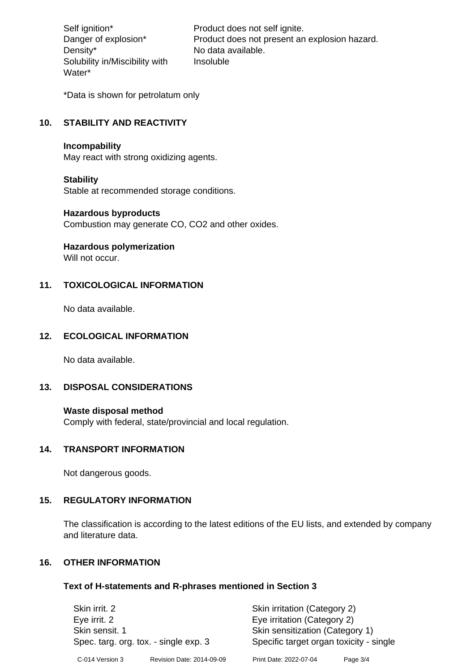Density\* No data available. Solubility in/Miscibility with Water\*

Self ignition\* Product does not self ignite. Danger of explosion\* Product does not present an explosion hazard. Insoluble

\*Data is shown for petrolatum only

# **10. STABILITY AND REACTIVITY**

#### **Incompability**

May react with strong oxidizing agents.

#### **Stability**

Stable at recommended storage conditions.

#### **Hazardous byproducts**

Combustion may generate CO, CO2 and other oxides.

**Hazardous polymerization**

Will not occur.

## **11. TOXICOLOGICAL INFORMATION**

No data available.

#### **12. ECOLOGICAL INFORMATION**

No data available.

## **13. DISPOSAL CONSIDERATIONS**

#### **Waste disposal method**

Comply with federal, state/provincial and local regulation.

#### **14. TRANSPORT INFORMATION**

Not dangerous goods.

## **15. REGULATORY INFORMATION**

The classification is according to the latest editions of the EU lists, and extended by company and literature data.

## **16. OTHER INFORMATION**

#### **Text of H-statements and R-phrases mentioned in Section 3**

| Skin irrit, 2                         |                           | Skin irritation (Category 2)            |            |  |
|---------------------------------------|---------------------------|-----------------------------------------|------------|--|
| Eye irrit. 2                          |                           | Eye irritation (Category 2)             |            |  |
| Skin sensit. 1                        |                           | Skin sensitization (Category 1)         |            |  |
| Spec. targ. org. tox. - single exp. 3 |                           | Specific target organ toxicity - single |            |  |
| C-014 Version 3                       | Revision Date: 2014-09-09 | Print Date: 2022-07-04                  | Page $3/4$ |  |